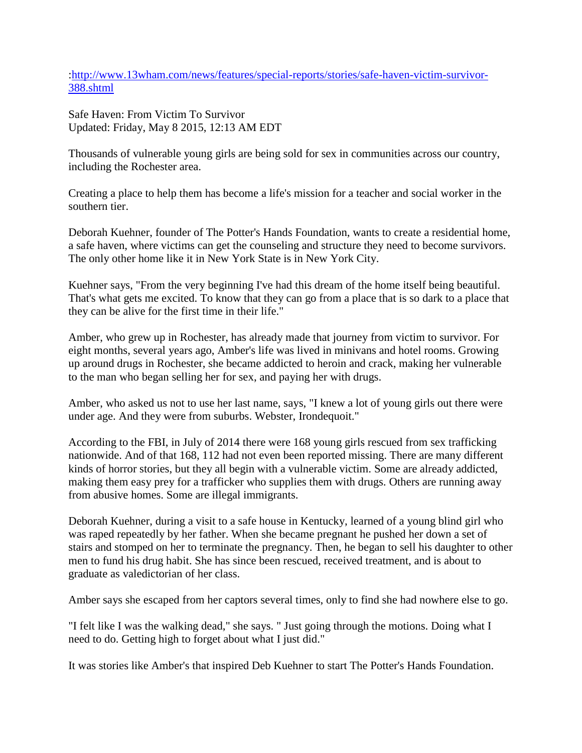[:http://www.13wham.com/news/features/special-reports/stories/safe-haven-victim-survivor-](http://www.13wham.com/news/features/special-reports/stories/safe-haven-victim-survivor-388.shtml)[388.shtml](http://www.13wham.com/news/features/special-reports/stories/safe-haven-victim-survivor-388.shtml)

Safe Haven: From Victim To Survivor Updated: Friday, May 8 2015, 12:13 AM EDT

Thousands of vulnerable young girls are being sold for sex in communities across our country, including the Rochester area.

Creating a place to help them has become a life's mission for a teacher and social worker in the southern tier.

Deborah Kuehner, founder of The Potter's Hands Foundation, wants to create a residential home, a safe haven, where victims can get the counseling and structure they need to become survivors. The only other home like it in New York State is in New York City.

Kuehner says, "From the very beginning I've had this dream of the home itself being beautiful. That's what gets me excited. To know that they can go from a place that is so dark to a place that they can be alive for the first time in their life."

Amber, who grew up in Rochester, has already made that journey from victim to survivor. For eight months, several years ago, Amber's life was lived in minivans and hotel rooms. Growing up around drugs in Rochester, she became addicted to heroin and crack, making her vulnerable to the man who began selling her for sex, and paying her with drugs.

Amber, who asked us not to use her last name, says, "I knew a lot of young girls out there were under age. And they were from suburbs. Webster, Irondequoit."

According to the FBI, in July of 2014 there were 168 young girls rescued from sex trafficking nationwide. And of that 168, 112 had not even been reported missing. There are many different kinds of horror stories, but they all begin with a vulnerable victim. Some are already addicted, making them easy prey for a trafficker who supplies them with drugs. Others are running away from abusive homes. Some are illegal immigrants.

Deborah Kuehner, during a visit to a safe house in Kentucky, learned of a young blind girl who was raped repeatedly by her father. When she became pregnant he pushed her down a set of stairs and stomped on her to terminate the pregnancy. Then, he began to sell his daughter to other men to fund his drug habit. She has since been rescued, received treatment, and is about to graduate as valedictorian of her class.

Amber says she escaped from her captors several times, only to find she had nowhere else to go.

"I felt like I was the walking dead," she says. " Just going through the motions. Doing what I need to do. Getting high to forget about what I just did."

It was stories like Amber's that inspired Deb Kuehner to start The Potter's Hands Foundation.